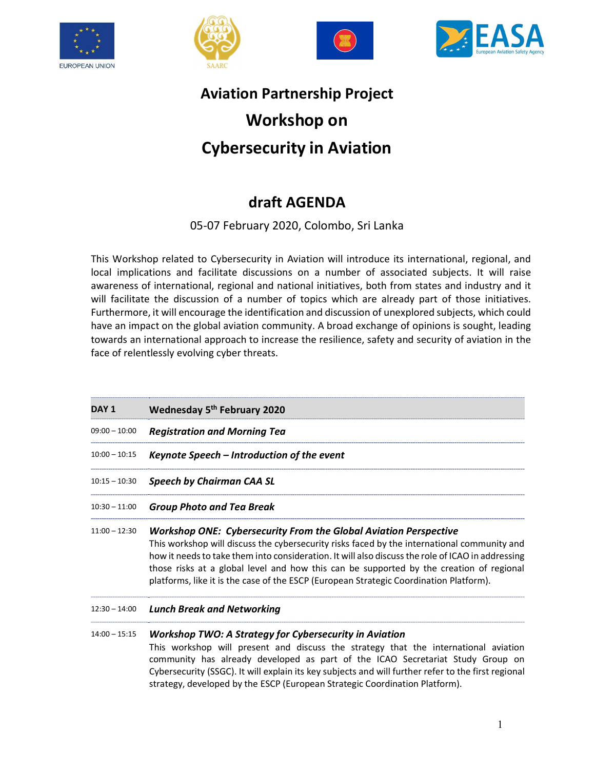







# Aviation Partnership Project Workshop on Cybersecurity in Aviation

## draft AGENDA

### 05-07 February 2020, Colombo, Sri Lanka

This Workshop related to Cybersecurity in Aviation will introduce its international, regional, and local implications and facilitate discussions on a number of associated subjects. It will raise awareness of international, regional and national initiatives, both from states and industry and it will facilitate the discussion of a number of topics which are already part of those initiatives. Furthermore, it will encourage the identification and discussion of unexplored subjects, which could have an impact on the global aviation community. A broad exchange of opinions is sought, leading towards an international approach to increase the resilience, safety and security of aviation in the face of relentlessly evolving cyber threats.

| DAY 1           | Wednesday 5 <sup>th</sup> February 2020                                                                                                                                                                                                                                                                                                                                                                                                                          |
|-----------------|------------------------------------------------------------------------------------------------------------------------------------------------------------------------------------------------------------------------------------------------------------------------------------------------------------------------------------------------------------------------------------------------------------------------------------------------------------------|
| $09:00 - 10:00$ | <b>Registration and Morning Tea</b>                                                                                                                                                                                                                                                                                                                                                                                                                              |
| $10:00 - 10:15$ | Keynote Speech - Introduction of the event                                                                                                                                                                                                                                                                                                                                                                                                                       |
| $10:15 - 10:30$ | <b>Speech by Chairman CAA SL</b>                                                                                                                                                                                                                                                                                                                                                                                                                                 |
| $10:30 - 11:00$ | <b>Group Photo and Tea Break</b>                                                                                                                                                                                                                                                                                                                                                                                                                                 |
| $11:00 - 12:30$ | <b>Workshop ONE: Cybersecurity From the Global Aviation Perspective</b><br>This workshop will discuss the cybersecurity risks faced by the international community and<br>how it needs to take them into consideration. It will also discuss the role of ICAO in addressing<br>those risks at a global level and how this can be supported by the creation of regional<br>platforms, like it is the case of the ESCP (European Strategic Coordination Platform). |
| $12:30 - 14:00$ | <b>Lunch Break and Networking</b>                                                                                                                                                                                                                                                                                                                                                                                                                                |
| $14:00 - 15:15$ | <b>Workshop TWO: A Strategy for Cybersecurity in Aviation</b>                                                                                                                                                                                                                                                                                                                                                                                                    |

This workshop will present and discuss the strategy that the international aviation community has already developed as part of the ICAO Secretariat Study Group on Cybersecurity (SSGC). It will explain its key subjects and will further refer to the first regional strategy, developed by the ESCP (European Strategic Coordination Platform).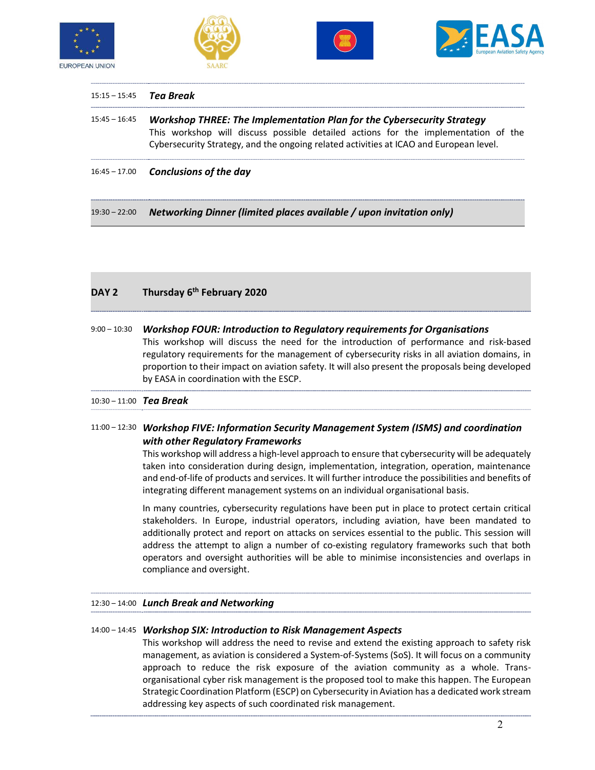







|                 | 15:15 – 15:45 Tea Break                                                                                                                                                                                                                                       |
|-----------------|---------------------------------------------------------------------------------------------------------------------------------------------------------------------------------------------------------------------------------------------------------------|
| $15:45 - 16:45$ | <b>Workshop THREE: The Implementation Plan for the Cybersecurity Strategy</b><br>This workshop will discuss possible detailed actions for the implementation of the<br>Cybersecurity Strategy, and the ongoing related activities at ICAO and European level. |
|                 | $16:45 - 17.00$ Conclusions of the day                                                                                                                                                                                                                        |

19:30 – 22:00 Networking Dinner (limited places available / upon invitation only)

#### DAY 2 Thursday 6<sup>th</sup> February 2020

| $9:00 - 10:30$ | <b>Workshop FOUR: Introduction to Regulatory requirements for Organisations</b>                   |
|----------------|---------------------------------------------------------------------------------------------------|
|                | This workshop will discuss the need for the introduction of performance and risk-based            |
|                | regulatory requirements for the management of cybersecurity risks in all aviation domains, in     |
|                | proportion to their impact on aviation safety. It will also present the proposals being developed |
|                | by EASA in coordination with the ESCP.                                                            |

#### 10:30 – 11:00 Tea Break

#### 11:00 – 12:30 Workshop FIVE: Information Security Management System (ISMS) and coordination with other Regulatory Frameworks

This workshop will address a high-level approach to ensure that cybersecurity will be adequately taken into consideration during design, implementation, integration, operation, maintenance and end-of-life of products and services. It will further introduce the possibilities and benefits of integrating different management systems on an individual organisational basis.

In many countries, cybersecurity regulations have been put in place to protect certain critical stakeholders. In Europe, industrial operators, including aviation, have been mandated to additionally protect and report on attacks on services essential to the public. This session will address the attempt to align a number of co-existing regulatory frameworks such that both operators and oversight authorities will be able to minimise inconsistencies and overlaps in compliance and oversight.

#### 12:30 – 14:00 Lunch Break and Networking

#### 14:00 – 14:45 Workshop SIX: Introduction to Risk Management Aspects

This workshop will address the need to revise and extend the existing approach to safety risk management, as aviation is considered a System-of-Systems (SoS). It will focus on a community approach to reduce the risk exposure of the aviation community as a whole. Transorganisational cyber risk management is the proposed tool to make this happen. The European Strategic Coordination Platform (ESCP) on Cybersecurity in Aviation has a dedicated work stream addressing key aspects of such coordinated risk management.